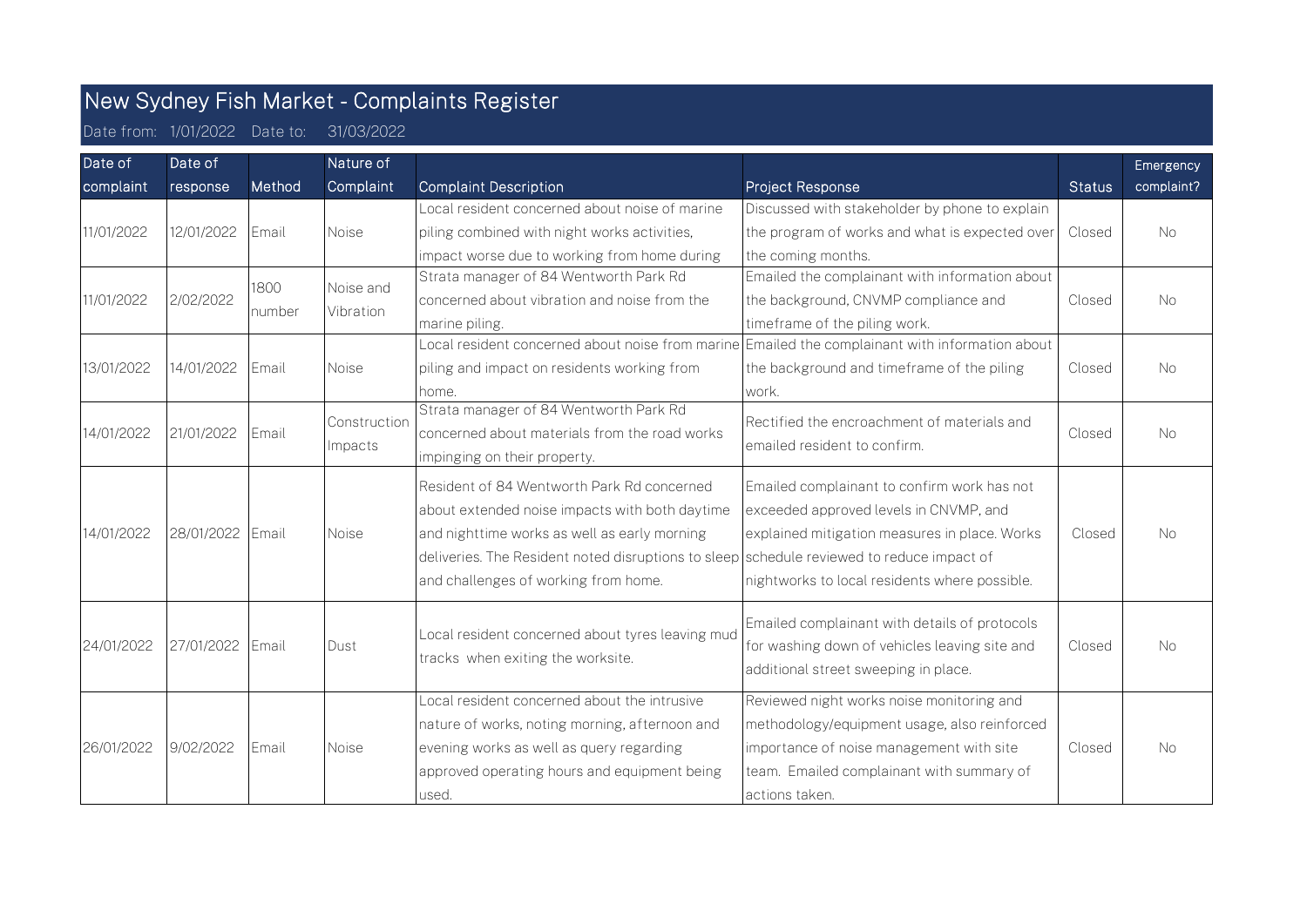## New Sydney Fish Market - Complaints Register

Date from: 1/01/2022 Date to: 31/03/2022

| Date of    | Date of    |              | Nature of               |                                                                                                                                                                                                                                           |                                                                                                                                        |               | Emergency  |
|------------|------------|--------------|-------------------------|-------------------------------------------------------------------------------------------------------------------------------------------------------------------------------------------------------------------------------------------|----------------------------------------------------------------------------------------------------------------------------------------|---------------|------------|
| complaint  | response   | Method       | Complaint               | <b>Complaint Description</b>                                                                                                                                                                                                              | Project Response                                                                                                                       | <b>Status</b> | complaint? |
|            |            |              |                         | Local resident concerned about noise of marine                                                                                                                                                                                            | Discussed with stakeholder by phone to explain                                                                                         |               |            |
| 11/01/2022 | 12/01/2022 | Email        | Noise                   | piling combined with night works activities,                                                                                                                                                                                              | the program of works and what is expected over                                                                                         | Closed        | <b>No</b>  |
|            |            |              |                         | impact worse due to working from home during                                                                                                                                                                                              | the coming months.                                                                                                                     |               |            |
|            | 2/02/2022  | 1800         | Noise and               | Strata manager of 84 Wentworth Park Rd                                                                                                                                                                                                    | Emailed the complainant with information about                                                                                         |               |            |
| 11/01/2022 |            | number       | Vibration               | concerned about vibration and noise from the                                                                                                                                                                                              | the background, CNVMP compliance and                                                                                                   | Closed        | <b>No</b>  |
|            |            |              |                         | marine piling.                                                                                                                                                                                                                            | timeframe of the piling work.                                                                                                          |               |            |
|            |            |              |                         | Local resident concerned about noise from marine $\mathsf{Emailed}$ the complainant with information about                                                                                                                                |                                                                                                                                        |               |            |
| 13/01/2022 | 14/01/2022 | Email        | Noise                   | piling and impact on residents working from                                                                                                                                                                                               | the background and timeframe of the piling                                                                                             | Closed        | <b>No</b>  |
|            |            |              |                         | home.                                                                                                                                                                                                                                     | work.                                                                                                                                  |               |            |
| 14/01/2022 | 21/01/2022 | Email        | Construction<br>Impacts | Strata manager of 84 Wentworth Park Rd<br>concerned about materials from the road works                                                                                                                                                   | Rectified the encroachment of materials and<br>emailed resident to confirm.                                                            | Closed        | No.        |
|            |            |              |                         | impinging on their property.                                                                                                                                                                                                              |                                                                                                                                        |               |            |
| 14/01/2022 | 28/01/2022 | Email        | Noise                   | Resident of 84 Wentworth Park Rd concerned<br>about extended noise impacts with both daytime<br>and nighttime works as well as early morning<br>deliveries. The Resident noted disruptions to sleep schedule reviewed to reduce impact of | Emailed complainant to confirm work has not<br>exceeded approved levels in CNVMP, and<br>explained mitigation measures in place. Works | Closed        | <b>No</b>  |
|            |            |              |                         | and challenges of working from home.                                                                                                                                                                                                      | nightworks to local residents where possible.                                                                                          |               |            |
| 24/01/2022 | 27/01/2022 | <b>Email</b> | Dust                    | Local resident concerned about tyres leaving mud<br>tracks when exiting the worksite.                                                                                                                                                     | Emailed complainant with details of protocols<br>for washing down of vehicles leaving site and<br>additional street sweeping in place. | Closed        | <b>No</b>  |
|            |            |              |                         | Local resident concerned about the intrusive                                                                                                                                                                                              | Reviewed night works noise monitoring and                                                                                              |               |            |
| 26/01/2022 | 9/02/2022  | Email        | Noise                   | nature of works, noting morning, afternoon and                                                                                                                                                                                            | methodology/equipment usage, also reinforced                                                                                           |               |            |
|            |            |              |                         | evening works as well as query regarding                                                                                                                                                                                                  | importance of noise management with site                                                                                               | Closed        | <b>No</b>  |
|            |            |              |                         | approved operating hours and equipment being                                                                                                                                                                                              | team. Emailed complainant with summary of                                                                                              |               |            |
|            |            |              |                         | lused.                                                                                                                                                                                                                                    | actions taken.                                                                                                                         |               |            |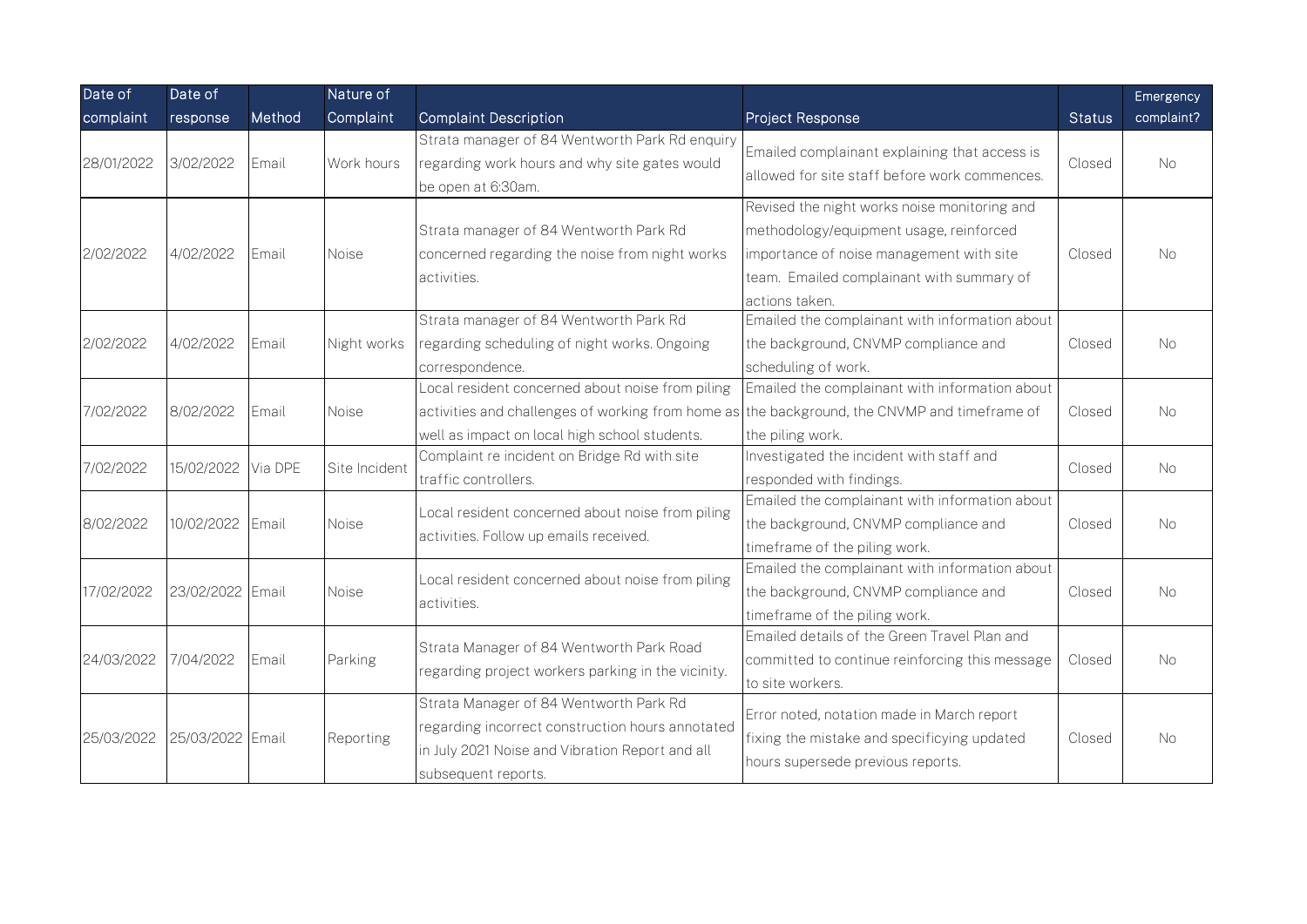| Date of    | Date of          |         | Nature of     |                                                                                                                                                                                                   |                                                                                                                                                                                                    |               | Emergency  |
|------------|------------------|---------|---------------|---------------------------------------------------------------------------------------------------------------------------------------------------------------------------------------------------|----------------------------------------------------------------------------------------------------------------------------------------------------------------------------------------------------|---------------|------------|
| complaint  | response         | Method  | Complaint     | <b>Complaint Description</b>                                                                                                                                                                      | <b>Project Response</b>                                                                                                                                                                            | <b>Status</b> | complaint? |
| 28/01/2022 | 3/02/2022        | Email   | Work hours    | Strata manager of 84 Wentworth Park Rd enquiry<br>regarding work hours and why site gates would<br>be open at 6:30am.                                                                             | Emailed complainant explaining that access is<br>allowed for site staff before work commences.                                                                                                     | Closed        | <b>No</b>  |
| 2/02/2022  | 4/02/2022        | Email   | <b>Noise</b>  | Strata manager of 84 Wentworth Park Rd<br>concerned regarding the noise from night works<br>activities.                                                                                           | Revised the night works noise monitoring and<br>methodology/equipment usage, reinforced<br>importance of noise management with site<br>team. Emailed complainant with summary of<br>actions taken. | Closed        | No.        |
| 2/02/2022  | 4/02/2022        | Email   | Night works   | Strata manager of 84 Wentworth Park Rd<br>regarding scheduling of night works. Ongoing<br>correspondence.                                                                                         | Emailed the complainant with information about<br>the background, CNVMP compliance and<br>scheduling of work.                                                                                      | Closed        | No.        |
| 7/02/2022  | 8/02/2022        | Email   | <b>Noise</b>  | Local resident concerned about noise from piling<br>activities and challenges of working from home as the background, the CNVMP and timeframe of<br>well as impact on local high school students. | Emailed the complainant with information about<br>the piling work.                                                                                                                                 | Closed        | No.        |
| 7/02/2022  | 15/02/2022       | Via DPE | Site Incident | Complaint re incident on Bridge Rd with site<br>traffic controllers.                                                                                                                              | Investigated the incident with staff and<br>responded with findings.                                                                                                                               | Closed        | <b>No</b>  |
| 8/02/2022  | 10/02/2022 Email |         | Noise         | Local resident concerned about noise from piling<br>activities. Follow up emails received.                                                                                                        | Emailed the complainant with information about<br>the background, CNVMP compliance and<br>timeframe of the piling work.                                                                            | Closed        | <b>No</b>  |
| 17/02/2022 | 23/02/2022 Email |         | Noise         | Local resident concerned about noise from piling<br>activities.                                                                                                                                   | Emailed the complainant with information about<br>the background, CNVMP compliance and<br>timeframe of the piling work.                                                                            | Closed        | <b>No</b>  |
| 24/03/2022 | 7/04/2022        | Email   | Parking       | Strata Manager of 84 Wentworth Park Road<br>regarding project workers parking in the vicinity.                                                                                                    | Emailed details of the Green Travel Plan and<br>committed to continue reinforcing this message<br>to site workers.                                                                                 | Closed        | No.        |
| 25/03/2022 | 25/03/2022 Email |         | Reporting     | Strata Manager of 84 Wentworth Park Rd<br>regarding incorrect construction hours annotated<br>in July 2021 Noise and Vibration Report and all<br>subsequent reports.                              | Error noted, notation made in March report<br>fixing the mistake and specificying updated<br>hours supersede previous reports.                                                                     | Closed        | No.        |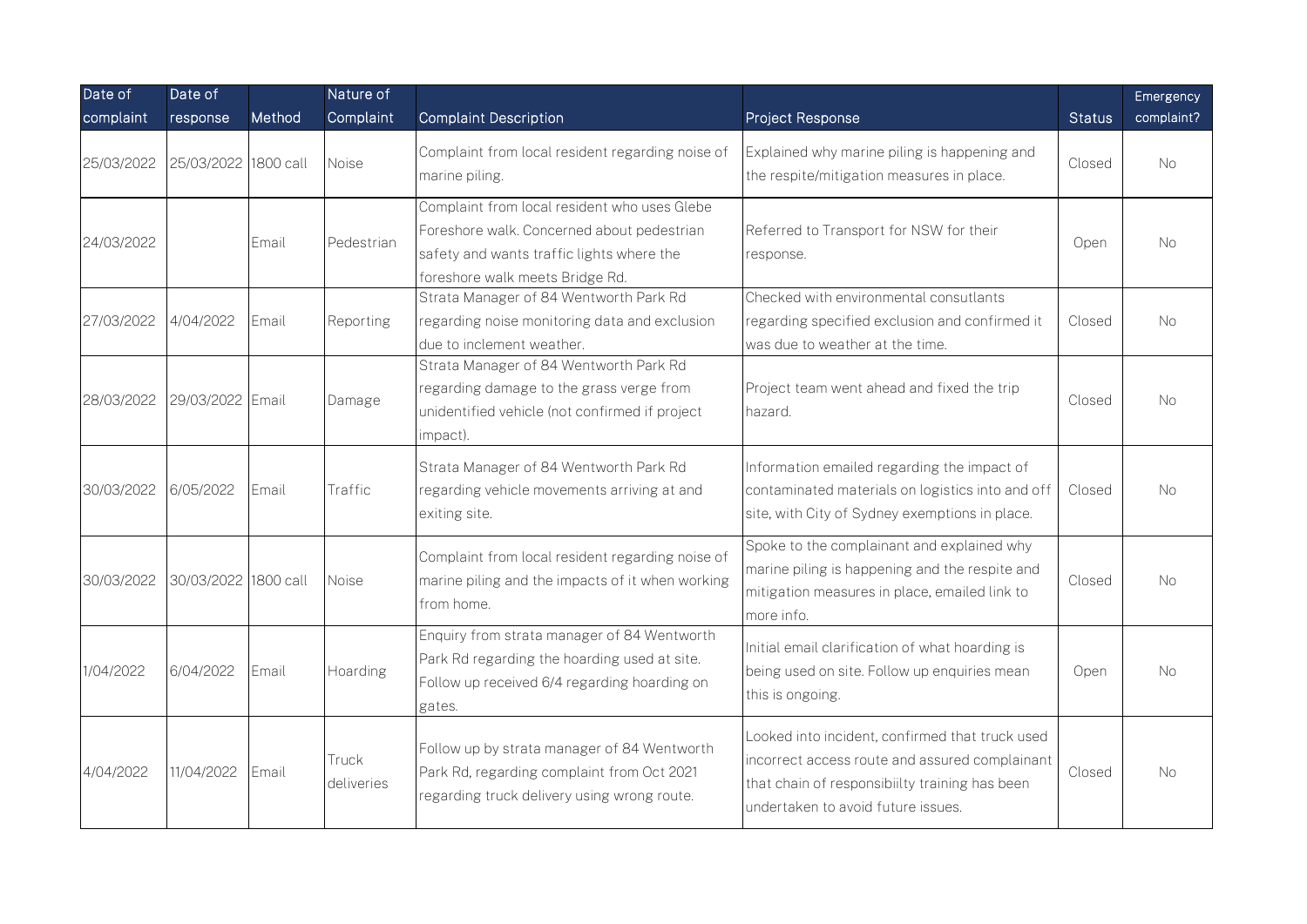| Date of    | Date of                         |        | Nature of           |                                                                                                                                                                            |                                                                                                                                                                                           |               | Emergency  |
|------------|---------------------------------|--------|---------------------|----------------------------------------------------------------------------------------------------------------------------------------------------------------------------|-------------------------------------------------------------------------------------------------------------------------------------------------------------------------------------------|---------------|------------|
| complaint  | response                        | Method | Complaint           | <b>Complaint Description</b>                                                                                                                                               | Project Response                                                                                                                                                                          | <b>Status</b> | complaint? |
| 25/03/2022 | 25/03/2022 1800 call            |        | Noise               | Complaint from local resident regarding noise of<br>marine piling.                                                                                                         | Explained why marine piling is happening and<br>the respite/mitigation measures in place.                                                                                                 | Closed        | No.        |
| 24/03/2022 |                                 | Email  | Pedestrian          | Complaint from local resident who uses Glebe<br>Foreshore walk. Concerned about pedestrian<br>safety and wants traffic lights where the<br>foreshore walk meets Bridge Rd. | Referred to Transport for NSW for their<br>response.                                                                                                                                      | Open          | No.        |
| 27/03/2022 | 4/04/2022                       | Email  | Reporting           | Strata Manager of 84 Wentworth Park Rd<br>regarding noise monitoring data and exclusion<br>due to inclement weather.                                                       | Checked with environmental consutlants<br>regarding specified exclusion and confirmed it<br>was due to weather at the time.                                                               | Closed        | No         |
|            | 28/03/2022 29/03/2022 Email     |        | Damage              | Strata Manager of 84 Wentworth Park Rd<br>regarding damage to the grass verge from<br>unidentified vehicle (not confirmed if project<br>impact).                           | Project team went ahead and fixed the trip<br>hazard.                                                                                                                                     | Closed        | No.        |
| 30/03/2022 | 6/05/2022                       | Email  | Traffic             | Strata Manager of 84 Wentworth Park Rd<br>regarding vehicle movements arriving at and<br>exiting site.                                                                     | Information emailed regarding the impact of<br>contaminated materials on logistics into and off<br>site, with City of Sydney exemptions in place.                                         | Closed        | No.        |
|            | 30/03/2022 30/03/2022 1800 call |        | <b>Noise</b>        | Complaint from local resident regarding noise of<br>marine piling and the impacts of it when working<br>from home.                                                         | Spoke to the complainant and explained why<br>marine piling is happening and the respite and<br>mitigation measures in place, emailed link to<br>more info.                               | Closed        | No.        |
| 1/04/2022  | 6/04/2022                       | Email  | Hoarding            | Enquiry from strata manager of 84 Wentworth<br>Park Rd regarding the hoarding used at site.<br>Follow up received 6/4 regarding hoarding on<br>gates.                      | Initial email clarification of what hoarding is<br>being used on site. Follow up enquiries mean<br>this is ongoing.                                                                       | Open          | No.        |
| 4/04/2022  | 11/04/2022                      | Email  | Truck<br>deliveries | Follow up by strata manager of 84 Wentworth<br>Park Rd, regarding complaint from Oct 2021<br>regarding truck delivery using wrong route.                                   | Looked into incident, confirmed that truck used<br>incorrect access route and assured complainant<br>that chain of responsibiilty training has been<br>undertaken to avoid future issues. | Closed        | No.        |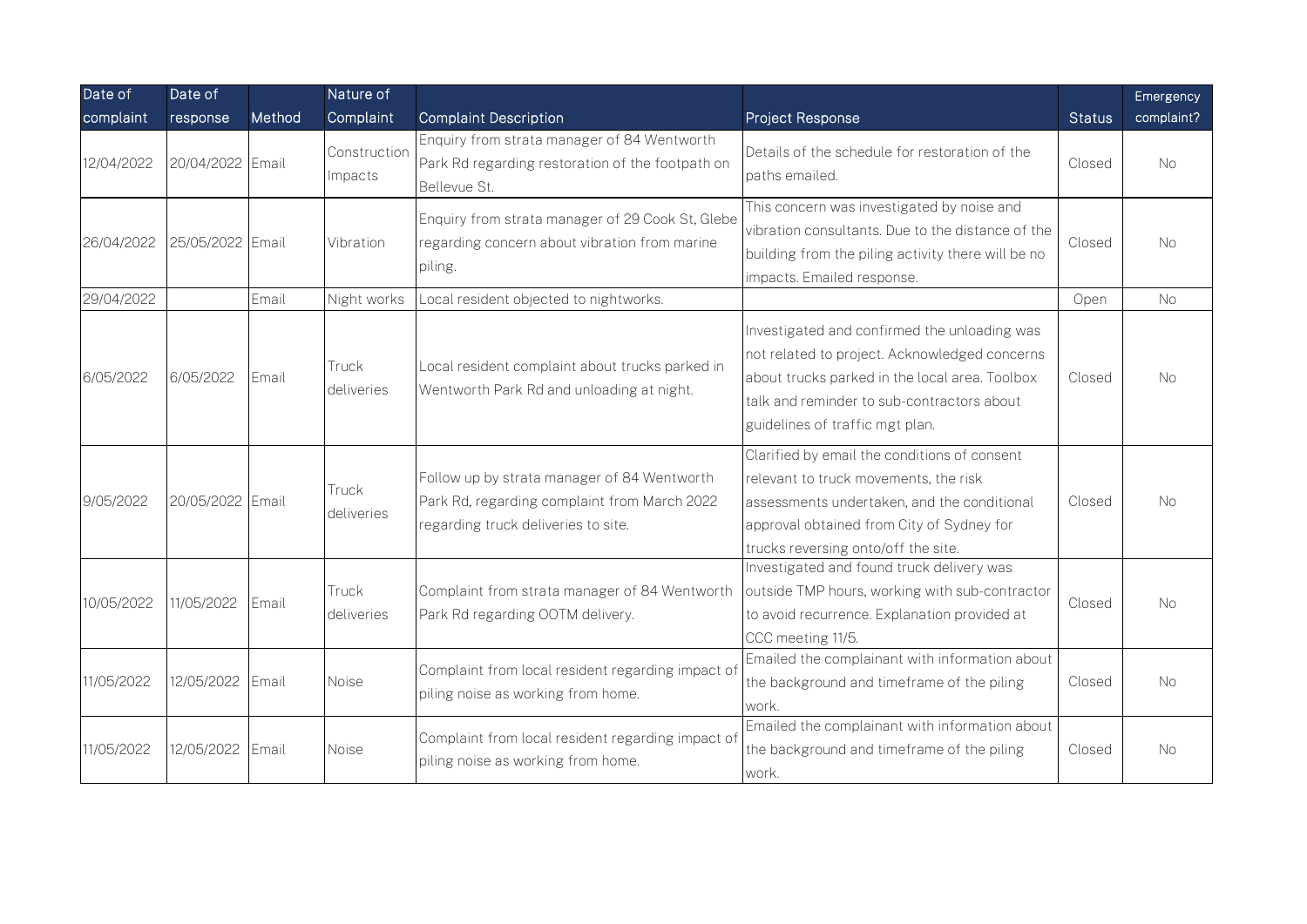| Date of    | Date of          |        | Nature of               |                                                                                                                                    |                                                                                                                                                                                                                                  |               | Emergency  |
|------------|------------------|--------|-------------------------|------------------------------------------------------------------------------------------------------------------------------------|----------------------------------------------------------------------------------------------------------------------------------------------------------------------------------------------------------------------------------|---------------|------------|
| complaint  | response         | Method | Complaint               | <b>Complaint Description</b>                                                                                                       | Project Response                                                                                                                                                                                                                 | <b>Status</b> | complaint? |
| 12/04/2022 | 20/04/2022 Email |        | Construction<br>Impacts | Enquiry from strata manager of 84 Wentworth<br>Park Rd regarding restoration of the footpath on<br>Bellevue St.                    | Details of the schedule for restoration of the<br>paths emailed.                                                                                                                                                                 | Closed        | <b>No</b>  |
| 26/04/2022 | 25/05/2022 Email |        | Vibration               | Enquiry from strata manager of 29 Cook St, Glebe<br>regarding concern about vibration from marine<br>piling.                       | This concern was investigated by noise and<br>vibration consultants. Due to the distance of the<br>building from the piling activity there will be no<br>impacts. Emailed response.                                              | Closed        | No         |
| 29/04/2022 |                  | Email  | Night works             | Local resident objected to nightworks.                                                                                             |                                                                                                                                                                                                                                  | Open          | No         |
| 6/05/2022  | 6/05/2022        | Email  | Truck<br>deliveries     | Local resident complaint about trucks parked in<br>Wentworth Park Rd and unloading at night.                                       | Investigated and confirmed the unloading was<br>not related to project. Acknowledged concerns<br>about trucks parked in the local area. Toolbox<br>talk and reminder to sub-contractors about<br>guidelines of traffic mgt plan. | Closed        | No.        |
| 9/05/2022  | 20/05/2022 Email |        | Truck<br>deliveries     | Follow up by strata manager of 84 Wentworth<br>Park Rd, regarding complaint from March 2022<br>regarding truck deliveries to site. | Clarified by email the conditions of consent<br>relevant to truck movements, the risk<br>assessments undertaken, and the conditional<br>approval obtained from City of Sydney for<br>trucks reversing onto/off the site.         | Closed        | <b>No</b>  |
| 10/05/2022 | 11/05/2022       | Email  | Truck<br>deliveries     | Complaint from strata manager of 84 Wentworth<br>Park Rd regarding OOTM delivery.                                                  | Investigated and found truck delivery was<br>outside TMP hours, working with sub-contractor<br>to avoid recurrence. Explanation provided at<br>CCC meeting 11/5.                                                                 | Closed        | No.        |
| 11/05/2022 | 12/05/2022       | Email  | Noise                   | Complaint from local resident regarding impact of<br>piling noise as working from home.                                            | Emailed the complainant with information about<br>the background and timeframe of the piling<br>work.                                                                                                                            | Closed        | <b>No</b>  |
| 11/05/2022 | 12/05/2022       | Email  | <b>Noise</b>            | Complaint from local resident regarding impact of<br>piling noise as working from home.                                            | Emailed the complainant with information about<br>the background and timeframe of the piling<br>work.                                                                                                                            | Closed        | <b>No</b>  |